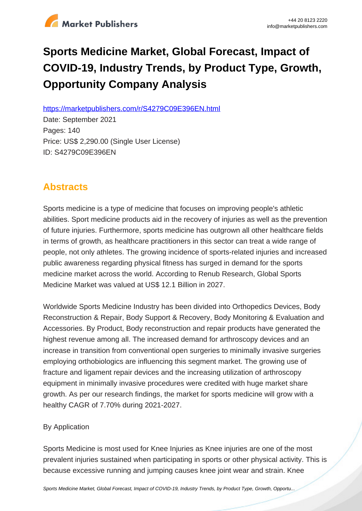

# **Sports Medicine Market, Global Forecast, Impact of COVID-19, Industry Trends, by Product Type, Growth, Opportunity Company Analysis**

https://marketpublishers.com/r/S4279C09E396EN.html

Date: September 2021 Pages: 140 Price: US\$ 2,290.00 (Single User License) ID: S4279C09E396EN

# **Abstracts**

Sports medicine is a type of medicine that focuses on improving people's athletic abilities. Sport medicine products aid in the recovery of injuries as well as the prevention of future injuries. Furthermore, sports medicine has outgrown all other healthcare fields in terms of growth, as healthcare practitioners in this sector can treat a wide range of people, not only athletes. The growing incidence of sports-related injuries and increased public awareness regarding physical fitness has surged in demand for the sports medicine market across the world. According to Renub Research, Global Sports Medicine Market was valued at US\$ 12.1 Billion in 2027.

Worldwide Sports Medicine Industry has been divided into Orthopedics Devices, Body Reconstruction & Repair, Body Support & Recovery, Body Monitoring & Evaluation and Accessories. By Product, Body reconstruction and repair products have generated the highest revenue among all. The increased demand for arthroscopy devices and an increase in transition from conventional open surgeries to minimally invasive surgeries employing orthobiologics are influencing this segment market. The growing use of fracture and ligament repair devices and the increasing utilization of arthroscopy equipment in minimally invasive procedures were credited with huge market share growth. As per our research findings, the market for sports medicine will grow with a healthy CAGR of 7.70% during 2021-2027.

# By Application

Sports Medicine is most used for Knee Injuries as Knee injuries are one of the most prevalent injuries sustained when participating in sports or other physical activity. This is because excessive running and jumping causes knee joint wear and strain. Knee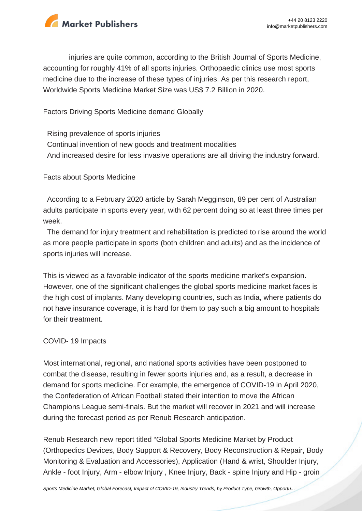

injuries are quite common, according to the British Journal of Sports Medicine, accounting for roughly 41% of all sports injuries. Orthopaedic clinics use most sports medicine due to the increase of these types of injuries. As per this research report, Worldwide Sports Medicine Market Size was US\$ 7.2 Billion in 2020.

Factors Driving Sports Medicine demand Globally

 Rising prevalence of sports injuries Continual invention of new goods and treatment modalities And increased desire for less invasive operations are all driving the industry forward.

Facts about Sports Medicine

 According to a February 2020 article by Sarah Megginson, 89 per cent of Australian adults participate in sports every year, with 62 percent doing so at least three times per week.

 The demand for injury treatment and rehabilitation is predicted to rise around the world as more people participate in sports (both children and adults) and as the incidence of sports injuries will increase.

This is viewed as a favorable indicator of the sports medicine market's expansion. However, one of the significant challenges the global sports medicine market faces is the high cost of implants. Many developing countries, such as India, where patients do not have insurance coverage, it is hard for them to pay such a big amount to hospitals for their treatment.

#### COVID- 19 Impacts

Most international, regional, and national sports activities have been postponed to combat the disease, resulting in fewer sports injuries and, as a result, a decrease in demand for sports medicine. For example, the emergence of COVID-19 in April 2020, the Confederation of African Football stated their intention to move the African Champions League semi-finals. But the market will recover in 2021 and will increase during the forecast period as per Renub Research anticipation.

Renub Research new report titled "Global Sports Medicine Market by Product (Orthopedics Devices, Body Support & Recovery, Body Reconstruction & Repair, Body Monitoring & Evaluation and Accessories), Application (Hand & wrist, Shoulder Injury, Ankle - foot Injury, Arm - elbow Injury , Knee Injury, Back - spine Injury and Hip - groin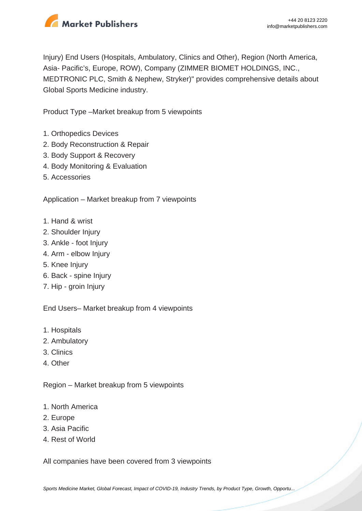

Injury) End Users (Hospitals, Ambulatory, Clinics and Other), Region (North America, Asia- Pacific's, Europe, ROW), Company (ZIMMER BIOMET HOLDINGS, INC., MEDTRONIC PLC, Smith & Nephew, Stryker)" provides comprehensive details about Global Sports Medicine industry.

Product Type –Market breakup from 5 viewpoints

- 1. Orthopedics Devices
- 2. Body Reconstruction & Repair
- 3. Body Support & Recovery
- 4. Body Monitoring & Evaluation
- 5. Accessories

Application – Market breakup from 7 viewpoints

- 1. Hand & wrist
- 2. Shoulder Injury
- 3. Ankle foot Injury
- 4. Arm elbow Injury
- 5. Knee Injury
- 6. Back spine Injury
- 7. Hip groin Injury

End Users– Market breakup from 4 viewpoints

- 1. Hospitals
- 2. Ambulatory
- 3. Clinics
- 4. Other

Region – Market breakup from 5 viewpoints

- 1. North America
- 2. Europe
- 3. Asia Pacific
- 4. Rest of World

All companies have been covered from 3 viewpoints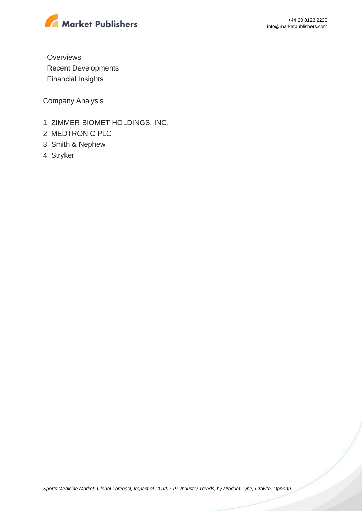

**Overviews**  Recent Developments Financial Insights

Company Analysis

- 1. ZIMMER BIOMET HOLDINGS, INC.
- 2. MEDTRONIC PLC
- 3. Smith & Nephew
- 4. Stryker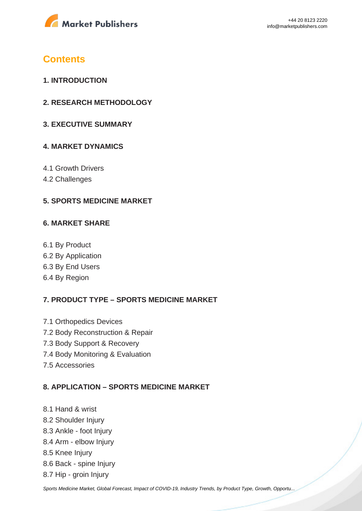

# **Contents**

- **1. INTRODUCTION**
- **2. RESEARCH METHODOLOGY**
- **3. EXECUTIVE SUMMARY**

### **4. MARKET DYNAMICS**

- 4.1 Growth Drivers
- 4.2 Challenges

### **5. SPORTS MEDICINE MARKET**

#### **6. MARKET SHARE**

6.1 By Product 6.2 By Application 6.3 By End Users 6.4 By Region

# **7. PRODUCT TYPE – SPORTS MEDICINE MARKET**

- 7.1 Orthopedics Devices 7.2 Body Reconstruction & Repair 7.3 Body Support & Recovery 7.4 Body Monitoring & Evaluation
- 7.5 Accessories

#### **8. APPLICATION – SPORTS MEDICINE MARKET**

- 8.1 Hand & wrist
- 8.2 Shoulder Injury
- 8.3 Ankle foot Injury
- 8.4 Arm elbow Injury
- 8.5 Knee Injury
- 8.6 Back spine Injury
- 8.7 Hip groin Injury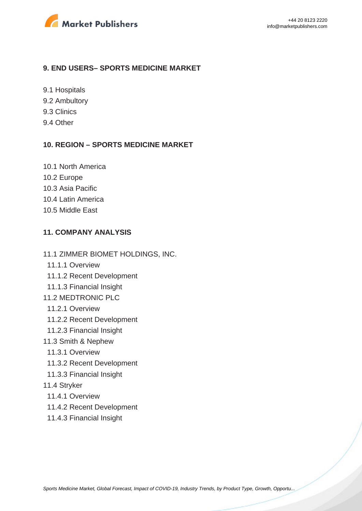

#### **9. END USERS– SPORTS MEDICINE MARKET**

- 9.1 Hospitals
- 9.2 Ambultory
- 9.3 Clinics
- 9.4 Other

#### **10. REGION – SPORTS MEDICINE MARKET**

- 10.1 North America
- 10.2 Europe
- 10.3 Asia Pacific
- 10.4 Latin America
- 10.5 Middle East

#### **11. COMPANY ANALYSIS**

- 11.1 ZIMMER BIOMET HOLDINGS, INC.
	- 11.1.1 Overview
	- 11.1.2 Recent Development
- 11.1.3 Financial Insight
- 11.2 MEDTRONIC PLC
	- 11.2.1 Overview
	- 11.2.2 Recent Development
- 11.2.3 Financial Insight
- 11.3 Smith & Nephew
	- 11.3.1 Overview
	- 11.3.2 Recent Development
- 11.3.3 Financial Insight
- 11.4 Stryker
	- 11.4.1 Overview
	- 11.4.2 Recent Development
	- 11.4.3 Financial Insight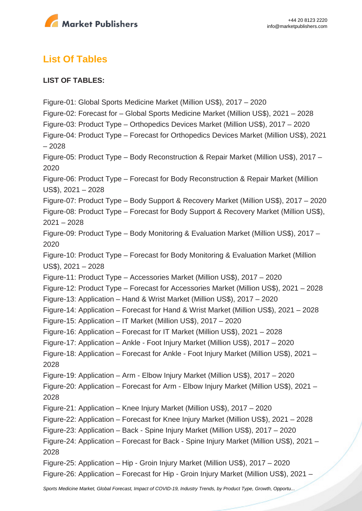

# **List Of Tables**

#### **LIST OF TABLES:**

Figure-01: Global Sports Medicine Market (Million US\$), 2017 – 2020 Figure-02: Forecast for – Global Sports Medicine Market (Million US\$), 2021 – 2028 Figure-03: Product Type – Orthopedics Devices Market (Million US\$), 2017 – 2020 Figure-04: Product Type – Forecast for Orthopedics Devices Market (Million US\$), 2021 – 2028 Figure-05: Product Type – Body Reconstruction & Repair Market (Million US\$), 2017 – 2020 Figure-06: Product Type – Forecast for Body Reconstruction & Repair Market (Million US\$), 2021 – 2028 Figure-07: Product Type – Body Support & Recovery Market (Million US\$), 2017 – 2020 Figure-08: Product Type – Forecast for Body Support & Recovery Market (Million US\$), 2021 – 2028 Figure-09: Product Type – Body Monitoring & Evaluation Market (Million US\$), 2017 – 2020 Figure-10: Product Type – Forecast for Body Monitoring & Evaluation Market (Million US\$), 2021 – 2028 Figure-11: Product Type – Accessories Market (Million US\$), 2017 – 2020 Figure-12: Product Type – Forecast for Accessories Market (Million US\$), 2021 – 2028 Figure-13: Application – Hand & Wrist Market (Million US\$), 2017 – 2020 Figure-14: Application – Forecast for Hand & Wrist Market (Million US\$), 2021 – 2028 Figure-15: Application – IT Market (Million US\$), 2017 – 2020 Figure-16: Application – Forecast for IT Market (Million US\$), 2021 – 2028 Figure-17: Application – Ankle - Foot Injury Market (Million US\$), 2017 – 2020 Figure-18: Application – Forecast for Ankle - Foot Injury Market (Million US\$), 2021 – 2028 Figure-19: Application – Arm - Elbow Injury Market (Million US\$), 2017 – 2020 Figure-20: Application – Forecast for Arm - Elbow Injury Market (Million US\$), 2021 – 2028 Figure-21: Application – Knee Injury Market (Million US\$), 2017 – 2020 Figure-22: Application – Forecast for Knee Injury Market (Million US\$), 2021 – 2028 Figure-23: Application – Back - Spine Injury Market (Million US\$), 2017 – 2020 Figure-24: Application – Forecast for Back - Spine Injury Market (Million US\$), 2021 – 2028 Figure-25: Application – Hip - Groin Injury Market (Million US\$), 2017 – 2020 Figure-26: Application – Forecast for Hip - Groin Injury Market (Million US\$), 2021 –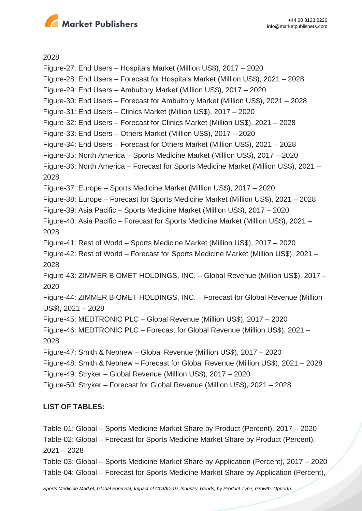

2028

Figure-27: End Users – Hospitals Market (Million US\$), 2017 – 2020 Figure-28: End Users – Forecast for Hospitals Market (Million US\$), 2021 – 2028 Figure-29: End Users – Ambultory Market (Million US\$), 2017 – 2020 Figure-30: End Users – Forecast for Ambultory Market (Million US\$), 2021 – 2028 Figure-31: End Users – Clinics Market (Million US\$), 2017 – 2020 Figure-32: End Users – Forecast for Clinics Market (Million US\$), 2021 – 2028 Figure-33: End Users – Others Market (Million US\$), 2017 – 2020 Figure-34: End Users – Forecast for Others Market (Million US\$), 2021 – 2028 Figure-35: North America – Sports Medicine Market (Million US\$), 2017 – 2020 Figure-36: North America – Forecast for Sports Medicine Market (Million US\$), 2021 – 2028 Figure-37: Europe – Sports Medicine Market (Million US\$), 2017 – 2020 Figure-38: Europe – Forecast for Sports Medicine Market (Million US\$), 2021 – 2028 Figure-39: Asia Pacific – Sports Medicine Market (Million US\$), 2017 – 2020 Figure-40: Asia Pacific – Forecast for Sports Medicine Market (Million US\$), 2021 – 2028 Figure-41: Rest of World – Sports Medicine Market (Million US\$), 2017 – 2020 Figure-42: Rest of World – Forecast for Sports Medicine Market (Million US\$), 2021 – 2028 Figure-43: ZIMMER BIOMET HOLDINGS, INC. – Global Revenue (Million US\$), 2017 – 2020 Figure-44: ZIMMER BIOMET HOLDINGS, INC. – Forecast for Global Revenue (Million US\$), 2021 – 2028 Figure-45: MEDTRONIC PLC – Global Revenue (Million US\$), 2017 – 2020 Figure-46: MEDTRONIC PLC – Forecast for Global Revenue (Million US\$), 2021 – 2028 Figure-47: Smith & Nephew – Global Revenue (Million US\$), 2017 – 2020 Figure-48: Smith & Nephew – Forecast for Global Revenue (Million US\$), 2021 – 2028 Figure-49: Stryker – Global Revenue (Million US\$), 2017 – 2020 Figure-50: Stryker – Forecast for Global Revenue (Million US\$), 2021 – 2028

#### **LIST OF TABLES:**

Table-01: Global – Sports Medicine Market Share by Product (Percent), 2017 – 2020 Table-02: Global – Forecast for Sports Medicine Market Share by Product (Percent), 2021 – 2028

Table-03: Global – Sports Medicine Market Share by Application (Percent), 2017 – 2020 Table-04: Global – Forecast for Sports Medicine Market Share by Application (Percent),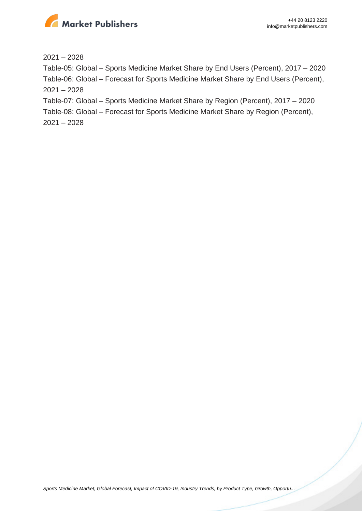

2021 – 2028

Table-05: Global – Sports Medicine Market Share by End Users (Percent), 2017 – 2020 Table-06: Global – Forecast for Sports Medicine Market Share by End Users (Percent), 2021 – 2028

Table-07: Global – Sports Medicine Market Share by Region (Percent), 2017 – 2020

Table-08: Global – Forecast for Sports Medicine Market Share by Region (Percent),

2021 – 2028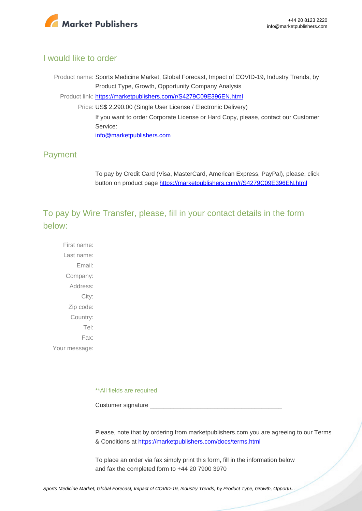

### I would like to order

Product name: Sports Medicine Market, Global Forecast, Impact of COVID-19, Industry Trends, by Product Type, Growth, Opportunity Company Analysis Product link: [https://marketpublishers.com/r/S4279C09E396EN.html](https://marketpublishers.com/report/life_sciences/healthcare/sports-medicine-market-global-forecast-impact-of-covid-19-industry-trends-by-product-type-growth-opportunity-company-analysis.html) Price: US\$ 2,290.00 (Single User License / Electronic Delivery) If you want to order Corporate License or Hard Copy, please, contact our Customer Service: [info@marketpublishers.com](mailto:info@marketpublishers.com)

# Payment

To pay by Credit Card (Visa, MasterCard, American Express, PayPal), please, click button on product page [https://marketpublishers.com/r/S4279C09E396EN.html](https://marketpublishers.com/report/life_sciences/healthcare/sports-medicine-market-global-forecast-impact-of-covid-19-industry-trends-by-product-type-growth-opportunity-company-analysis.html)

To pay by Wire Transfer, please, fill in your contact details in the form below:

First name: Last name: Email: Company: Address: City: Zip code: Country: Tel: Fax: Your message:

\*\*All fields are required

Custumer signature

Please, note that by ordering from marketpublishers.com you are agreeing to our Terms & Conditions at<https://marketpublishers.com/docs/terms.html>

To place an order via fax simply print this form, fill in the information below and fax the completed form to +44 20 7900 3970